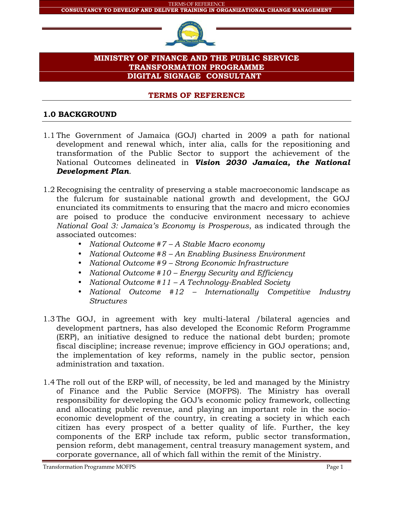

## **MINISTRY OF FINANCE AND THE PUBLIC SERVICE TRANSFORMATION PROGRAMME DIGITAL SIGNAGE CONSULTANT**

#### **TERMS OF REFERENCE**

## **1.0 BACKGROUND**

- 1.1 The Government of Jamaica (GOJ) charted in 2009 a path for national development and renewal which, inter alia, calls for the repositioning and transformation of the Public Sector to support the achievement of the National Outcomes delineated in *Vision 2030 Jamaica, the National Development Plan*.
- 1.2 Recognising the centrality of preserving a stable macroeconomic landscape as the fulcrum for sustainable national growth and development, the GOJ enunciated its commitments to ensuring that the macro and micro economies are poised to produce the conducive environment necessary to achieve *National Goal 3: Jamaica's Economy is Prosperous*, as indicated through the associated outcomes:
	- *National Outcome #7 –A Stable Macro economy*
	- *National Outcome #8 –An Enabling Business Environment*
	- *National Outcome #9 –Strong Economic Infrastructure*
	- *National Outcome #10 – Energy Security and Efficiency*
	- *National Outcome #11 – A Technology-Enabled Society*
	- *National Outcome #12 – Internationally Competitive Industry Structures*
- 1.3 The GOJ, in agreement with key multi-lateral /bilateral agencies and development partners, has also developed the Economic Reform Programme (ERP), an initiative designed to reduce the national debt burden; promote fiscal discipline; increase revenue; improve efficiency in GOJ operations; and, the implementation of key reforms, namely in the public sector, pension administration and taxation.
- 1.4 The roll out of the ERP will, of necessity, be led and managed by the Ministry of Finance and the Public Service (MOFPS). The Ministry has overall responsibility for developing the GOJ's economic policy framework, collecting and allocating public revenue, and playing an important role in the socio economic development of the country, in creating a society in which each citizen has every prospect of a better quality of life. Further, the key components of the ERP include tax reform, public sector transformation, pension reform, debt management, central treasury management system, and corporate governance, all of which fall within the remit of the Ministry.

**Transformation Programme MOFPS** Page 1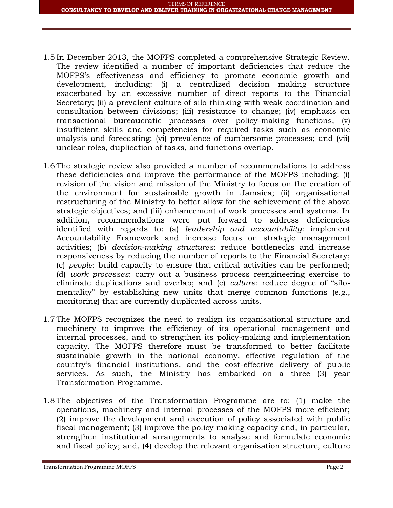- 1.5 In December 2013, the MOFPS completed a comprehensive Strategic Review. The review identified a number of important deficiencies that reduce the MOFPS's effectiveness and efficiency to promote economic growth and development, including: (i) a centralized decision making structure exacerbated by an excessive number of direct reports to the Financial Secretary; (ii) a prevalent culture of silo thinking with weak coordination and consultation between divisions; (iii) resistance to change; (iv) emphasis on transactional bureaucratic processes over policy-making functions, (v) insufficient skills and competencies for required tasks such as economic analysis and forecasting; (vi) prevalence of cumbersome processes; and (vii) unclear roles, duplication of tasks, and functions overlap.
- 1.6 The strategic review also provided a number of recommendations to address these deficiencies and improve the performance of the MOFPS including: (i) revision of the vision and mission of the Ministry to focus on the creation of the environment for sustainable growth in Jamaica; (ii) organisational restructuring of the Ministry to better allow for the achievement of the above strategic objectives; and (iii) enhancement of work processes and systems. In addition, recommendations were put forward to address deficiencies identified with regards to: (a) *leadership and accountability*: implement Accountability Framework and increase focus on strategic management activities; (b) *decision-making structures*: reduce bottlenecks and increase responsiveness by reducing the number of reports to the Financial Secretary; (c) *people*: build capacity to ensure that critical activities can be performed; (d) *work processes*: carry out a business process reengineering exercise to eliminate duplications and overlap; and (e) *culture*: reduce degree of "silo mentality" by establishing new units that merge common functions (e.g., monitoring) that are currently duplicated across units.
- 1.7 The MOFPS recognizes the need to realign its organisational structure and machinery to improve the efficiency of its operational management and internal processes, and to strengthen its policy-making and implementation capacity. The MOFPS therefore must be transformed to better facilitate sustainable growth in the national economy, effective regulation of the country's financial institutions, and the cost-effective delivery of public services. As such, the Ministry has embarked on a three (3) year Transformation Programme.
- 1.8 The objectives of the Transformation Programme are to: (1) make the operations, machinery and internal processes of the MOFPS more efficient; (2) improve the development and execution of policy associated with public fiscal management; (3) improve the policy making capacity and, in particular, strengthen institutional arrangements to analyse and formulate economic and fiscal policy; and, (4) develop the relevant organisation structure, culture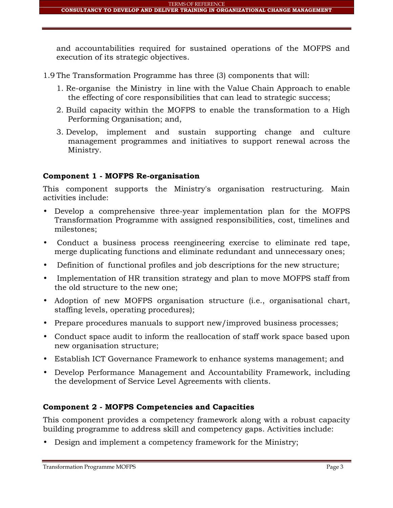and accountabilities required for sustained operations of the MOFPS and execution of its strategic objectives.

- 1.9 The Transformation Programme has three (3) components that will:
	- 1. Re-organise the Ministry in line with the Value Chain Approach to enable the effecting of core responsibilities that can lead to strategic success;
	- 2. Build capacity within the MOFPS to enable the transformation to a High Performing Organisation; and,
	- 3. Develop, implement and sustain supporting change and culture management programmes and initiatives to support renewal across the Ministry.

## **Component 1 - MOFPS Re-organisation**

This component supports the Ministry's organisation restructuring. Main activities include:

- Develop a comprehensive three-year implementation plan for the MOFPS Transformation Programme with assigned responsibilities, cost, timelines and milestones;
- Conduct a business process reengineering exercise to eliminate red tape, merge duplicating functions and eliminate redundant and unnecessary ones;
- Definition of functional profiles and job descriptions for the new structure;
- Implementation of HR transition strategy and plan to move MOFPS staff from the old structure to the new one;
- Adoption of new MOFPS organisation structure (i.e., organisational chart, staffing levels, operating procedures);
- Prepare procedures manuals to support new/improved business processes;
- Conduct space audit to inform the reallocation of staff work space based upon new organisation structure;
- Establish ICT Governance Framework to enhance systems management; and
- Develop Performance Management and Accountability Framework, including the development of Service Level Agreements with clients.

# **Component 2 - MOFPS Competencies and Capacities**

This component provides a competency framework along with a robust capacity building programme to address skill and competency gaps. Activities include:

Design and implement a competency framework for the Ministry;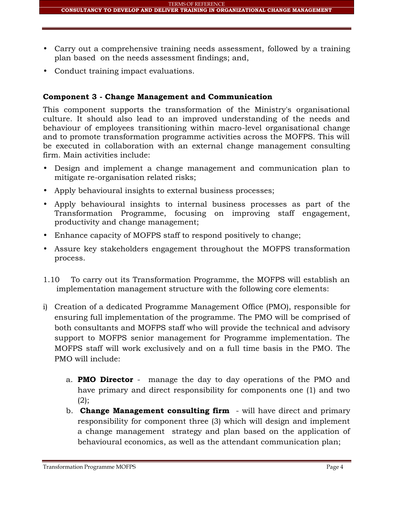- Carry out a comprehensive training needs assessment, followed by a training plan based on the needs assessment findings; and,
- Conduct training impact evaluations.

# **Component 3 - Change Management and Communication**

This component supports the transformation of the Ministry's organisational culture. It should also lead to an improved understanding of the needs and behaviour of employees transitioning within macro-level organisational change and to promote transformation programme activities across the MOFPS. This will be executed in collaboration with an external change management consulting firm. Main activities include:

- Design and implement a change management and communication plan to mitigate re-organisation related risks;
- Apply behavioural insights to external business processes;
- Apply behavioural insights to internal business processes as part of the Transformation Programme, focusing on improving staff engagement, productivity and change management;
- Enhance capacity of MOFPS staff to respond positively to change;
- Assure key stakeholders engagement throughout the MOFPS transformation process.
- 1.10 To carry out its Transformation Programme, the MOFPS will establish an implementation management structure with the following core elements:
- i) Creation of a dedicated Programme Management Office (PMO), responsible for ensuring full implementation of the programme. The PMO will be comprised of both consultants and MOFPS staff who will provide the technical and advisory support to MOFPS senior management for Programme implementation. The MOFPS staff will work exclusively and on a full time basis in the PMO. The PMO will include:
	- a. **PMO Director** manage the day to day operations of the PMO and have primary and direct responsibility for components one (1) and two  $(2)$ ;
	- b. **Change Management consulting firm** will have direct and primary responsibility for component three (3) which will design and implement a change management strategy and plan based on the application of behavioural economics, as well as the attendant communication plan;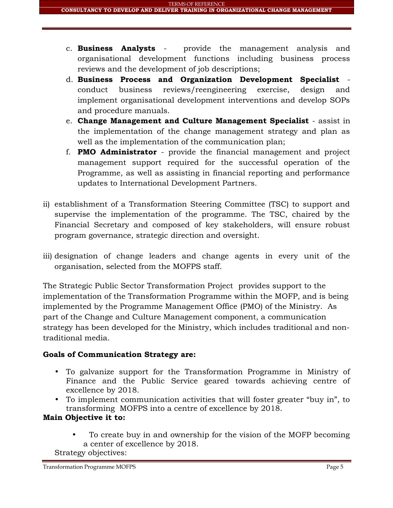- c. **Business Analysts** provide the management analysis and organisational development functions including business process reviews and the development of job descriptions;
- d. **Business Process and Organization Development Specialist** conduct business reviews/reengineering exercise, design and implement organisational development interventions and develop SOPs and procedure manuals.
- e. **Change Management and Culture Management Specialist** assist in the implementation of the change management strategy and plan as well as the implementation of the communication plan;
- f. **PMO Administrator** provide the financial management and project management support required for the successful operation of the Programme, as well as assisting in financial reporting and performance updates to International Development Partners.
- ii) establishment of a Transformation Steering Committee (TSC) to support and supervise the implementation of the programme. The TSC, chaired by the Financial Secretary and composed of key stakeholders, will ensure robust program governance, strategic direction and oversight.
- iii) designation of change leaders and change agents in every unit of the organisation, selected from the MOFPS staff.

The Strategic Public Sector Transformation Project provides support to the implementation of the Transformation Programme within the MOFP, and is being implemented by the Programme Management Office (PMO) of the Ministry. As part of the Change and Culture Management component, a communication strategy has been developed for the Ministry, which includes traditional and nontraditional media.

# **Goals of Communication Strategy are:**

- To galvanize support for the Transformation Programme in Ministry of Finance and the Public Service geared towards achieving centre of excellence by 2018.
- To implement communication activities that will foster greater "buy in", to transforming MOFPS into a centre of excellence by 2018.

# **Main Objective it to:**

 To create buy in and ownership for the vision of the MOFP becoming a center of excellence by 2018.

Strategy objectives: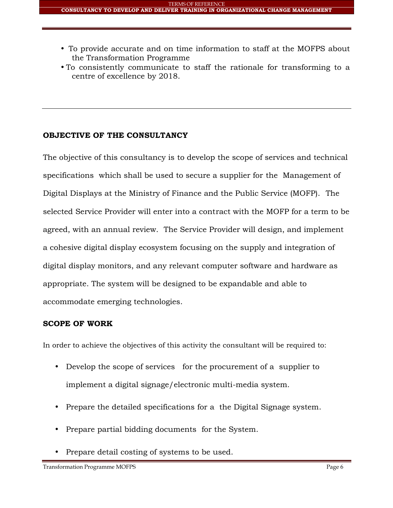- To provide accurate and on time information to staff at the MOFPS about the Transformation Programme
- To consistently communicate to staff the rationale for transforming to a centre of excellence by 2018.

## **OBJECTIVE OF THE CONSULTANCY**

The objective of this consultancy is to develop the scope of services and technical specifications which shall be used to secure a supplier for the Management of Digital Displays at the Ministry of Finance and the Public Service (MOFP). The selected Service Provider will enter into a contract with the MOFP for a term to be agreed, with an annual review. The Service Provider will design, and implement a cohesive digital display ecosystem focusing on the supply and integration of digital display monitors, and any relevant computer software and hardware as appropriate. The system will be designed to be expandable and able to accommodate emerging technologies.

## **SCOPE OF WORK**

In order to achieve the objectives of this activity the consultant will be required to:

- Develop the scope of services for the procurement of a supplier to implement a digital signage/electronic multi-media system.
- Prepare the detailed specifications for a the Digital Signage system.
- Prepare partial bidding documents for the System.
- Prepare detail costing of systems to be used.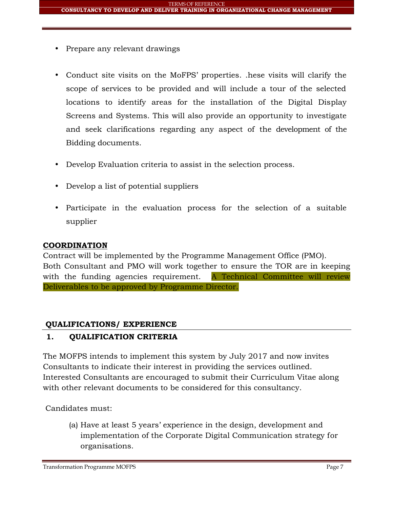- Prepare any relevant drawings
- Conduct site visits on the MoFPS' properties. .hese visits will clarify the scope of services to be provided and will include a tour of the selected locations to identify areas for the installation of the Digital Display Screens and Systems. This will also provide an opportunity to investigate and seek clarifications regarding any aspect of the development of the Bidding documents.
- Develop Evaluation criteria to assist in the selection process.
- Develop a list of potential suppliers
- Participate in the evaluation process for the selection of a suitable supplier

## **COORDINATION**

Contract will be implemented by the Programme Management Office (PMO). Both Consultant and PMO will work together to ensure the TOR are in keeping with the funding agencies requirement. A Technical Committee will review Deliverables to be approved by Programme Director.

# **QUALIFICATIONS/ EXPERIENCE**

# **1. QUALIFICATION CRITERIA**

The MOFPS intends to implement this system by July 2017 and now invites Consultants to indicate their interest in providing the services outlined. Interested Consultants are encouraged to submit their Curriculum Vitae along with other relevant documents to be considered for this consultancy.

Candidates must:

(a) Have at least 5 years' experience in the design, development and implementation of the Corporate Digital Communication strategy for organisations.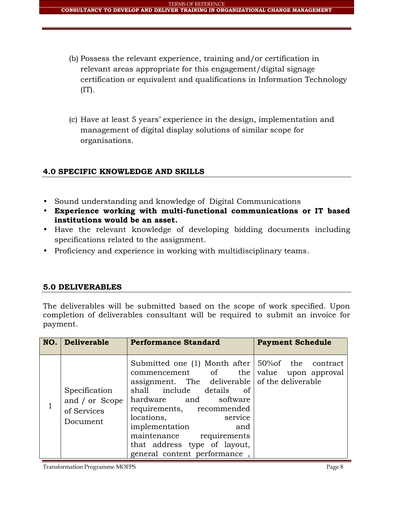- (b) Possess the relevant experience, training and/or certification in relevant areas appropriate for this engagement/digital signage certification or equivalent and qualifications in Information Technology  $(IT)$ .
- (c) Have at least 5 years' experience in the design, implementation and management of digital display solutions of similar scope for organisations.

# **4.0 SPECIFIC KNOWLEDGE AND SKILLS**

- Sound understanding and knowledge of Digital Communications
- **Experience working with multi-functional communications or IT based institutions would be an asset.**
- Have the relevant knowledge of developing bidding documents including specifications related to the assignment.
- Proficiency and experience in working with multidisciplinary teams.

## **5.0 DELIVERABLES**

The deliverables will be submitted based on the scope of work specified. Upon completion of deliverables consultant will be required to submit an invoice for payment.

| NO. | <b>Deliverable</b>                                         | <b>Performance Standard</b>                                                                                                                                                                                                                                                                                                                                                             | <b>Payment Schedule</b> |
|-----|------------------------------------------------------------|-----------------------------------------------------------------------------------------------------------------------------------------------------------------------------------------------------------------------------------------------------------------------------------------------------------------------------------------------------------------------------------------|-------------------------|
|     | Specification<br>and / or Scope<br>of Services<br>Document | Submitted one (1) Month after $\frac{150}{60}$ the contract<br>$component$ of the value upon approval<br>assignment. The deliverable of the deliverable<br>shall include details of<br>hardware and software<br>requirements, recommended<br>locations,<br>service<br>implementation<br>and<br>maintenance requirements<br>that address type of layout,<br>general content performance, |                         |

Transformation Programme MOFPS **Page 8** Page 8